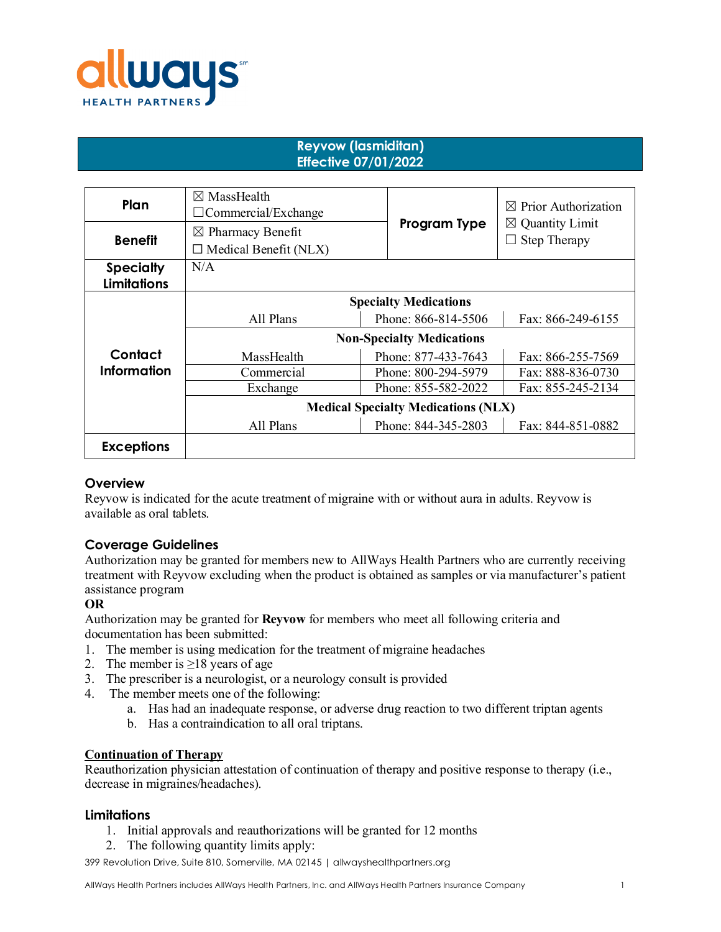

# **Reyvow (lasmiditan) Effective 07/01/2022**

| Plan               | $\boxtimes$ MassHealth<br>$\Box$ Commercial/Exchange         |                                  | $\boxtimes$ Prior Authorization                   |  |
|--------------------|--------------------------------------------------------------|----------------------------------|---------------------------------------------------|--|
| <b>Benefit</b>     | $\boxtimes$ Pharmacy Benefit<br>$\Box$ Medical Benefit (NLX) | Program Type                     | $\boxtimes$ Quantity Limit<br><b>Step Therapy</b> |  |
| <b>Specialty</b>   | N/A                                                          |                                  |                                                   |  |
| <b>Limitations</b> |                                                              |                                  |                                                   |  |
|                    | <b>Specialty Medications</b>                                 |                                  |                                                   |  |
|                    | All Plans                                                    | Phone: 866-814-5506              | Fax: 866-249-6155                                 |  |
|                    |                                                              | <b>Non-Specialty Medications</b> |                                                   |  |
| Contact            | MassHealth                                                   | Phone: 877-433-7643              | Fax: 866-255-7569                                 |  |
| <b>Information</b> | Commercial                                                   | Phone: 800-294-5979              | Fax: 888-836-0730                                 |  |
|                    | Exchange                                                     | Phone: 855-582-2022              | Fax: 855-245-2134                                 |  |
|                    | <b>Medical Specialty Medications (NLX)</b>                   |                                  |                                                   |  |
|                    | All Plans                                                    | Phone: 844-345-2803              | Fax: 844-851-0882                                 |  |
| <b>Exceptions</b>  |                                                              |                                  |                                                   |  |

### **Overview**

Reyvow is indicated for the acute treatment of migraine with or without aura in adults. Reyvow is available as oral tablets.

### **Coverage Guidelines**

Authorization may be granted for members new to AllWays Health Partners who are currently receiving treatment with Reyvow excluding when the product is obtained as samples or via manufacturer's patient assistance program

### **OR**

Authorization may be granted for **Reyvow** for members who meet all following criteria and documentation has been submitted:

- 1. The member is using medication for the treatment of migraine headaches
- 2. The member is  $\geq 18$  years of age
- 3. The prescriber is a neurologist, or a neurology consult is provided
- 4. The member meets one of the following:
	- a. Has had an inadequate response, or adverse drug reaction to two different triptan agents
	- b. Has a contraindication to all oral triptans.

### **Continuation of Therapy**

Reauthorization physician attestation of continuation of therapy and positive response to therapy (i.e., decrease in migraines/headaches).

### **Limitations**

- 1. Initial approvals and reauthorizations will be granted for 12 months
- 2. The following quantity limits apply:

399 Revolution Drive, Suite 810, Somerville, MA 02145 | allwayshealthpartners.org